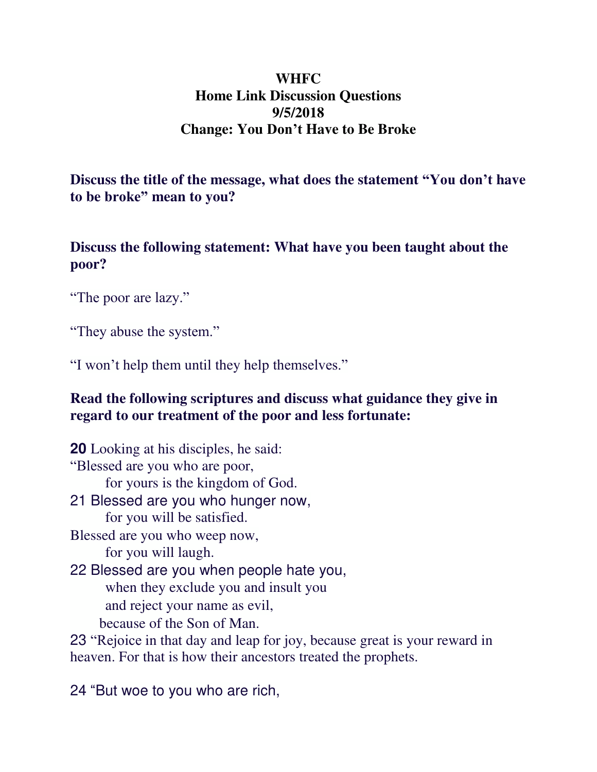## **WHFC Home Link Discussion Questions 9/5/2018 Change: You Don't Have to Be Broke**

**Discuss the title of the message, what does the statement "You don't have to be broke" mean to you?** 

**Discuss the following statement: What have you been taught about the poor?** 

"The poor are lazy."

"They abuse the system."

"I won't help them until they help themselves."

## **Read the following scriptures and discuss what guidance they give in regard to our treatment of the poor and less fortunate:**

**20** Looking at his disciples, he said: "Blessed are you who are poor, for yours is the kingdom of God. 21 Blessed are you who hunger now, for you will be satisfied. Blessed are you who weep now, for you will laugh. 22 Blessed are you when people hate you, when they exclude you and insult you and reject your name as evil, because of the Son of Man. 23 "Rejoice in that day and leap for joy, because great is your reward in heaven. For that is how their ancestors treated the prophets.

24 "But woe to you who are rich,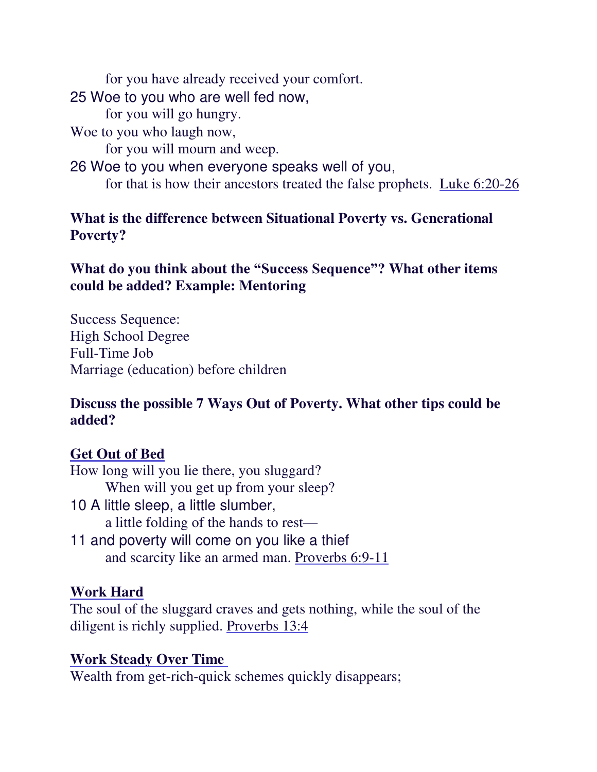for you have already received your comfort. 25 Woe to you who are well fed now, for you will go hungry. Woe to you who laugh now, for you will mourn and weep. 26 Woe to you when everyone speaks well of you, for that is how their ancestors treated the false prophets. Luke 6:20-26

## **What is the difference between Situational Poverty vs. Generational Poverty?**

## **What do you think about the "Success Sequence"? What other items could be added? Example: Mentoring**

Success Sequence: High School Degree Full-Time Job Marriage (education) before children

## **Discuss the possible 7 Ways Out of Poverty. What other tips could be added?**

## **Get Out of Bed**

- How long will you lie there, you sluggard? When will you get up from your sleep?
- 10 A little sleep, a little slumber, a little folding of the hands to rest—
- 11 and poverty will come on you like a thief and scarcity like an armed man. Proverbs 6:9-11

## **Work Hard**

The soul of the sluggard craves and gets nothing, while the soul of the diligent is richly supplied. Proverbs 13:4

#### **Work Steady Over Time**

Wealth from get-rich-quick schemes quickly disappears;